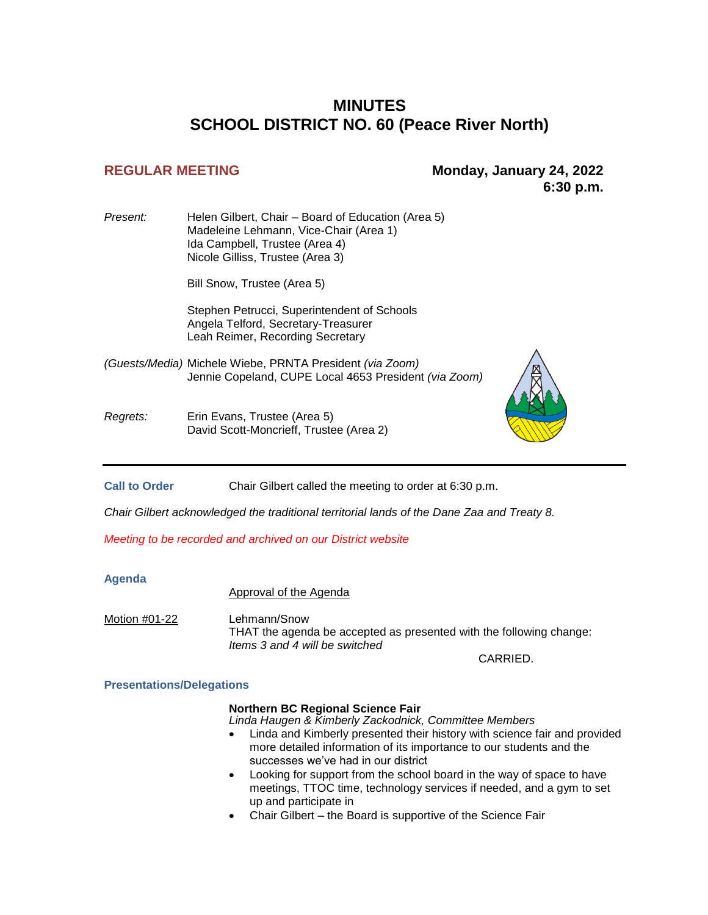# **MINUTES SCHOOL DISTRICT NO. 60 (Peace River North)**

## **REGULAR MEETING Monday, January 24, 2022 6:30 p.m.**

*Present:* Helen Gilbert, Chair – Board of Education (Area 5) Madeleine Lehmann, Vice-Chair (Area 1) Ida Campbell, Trustee (Area 4) Nicole Gilliss, Trustee (Area 3)

Bill Snow, Trustee (Area 5)

Stephen Petrucci, Superintendent of Schools Angela Telford, Secretary-Treasurer Leah Reimer, Recording Secretary

*(Guests/Media)* Michele Wiebe, PRNTA President *(via Zoom)* Jennie Copeland, CUPE Local 4653 President *(via Zoom)*

*Regrets:* Erin Evans, Trustee (Area 5) David Scott-Moncrieff, Trustee (Area 2)



**Call to Order** Chair Gilbert called the meeting to order at 6:30 p.m.

*Chair Gilbert acknowledged the traditional territorial lands of the Dane Zaa and Treaty 8.*

*Meeting to be recorded and archived on our District website*

## **Agenda**

Approval of the Agenda

Motion #01-22 Lehmann/Snow THAT the agenda be accepted as presented with the following change: *Items 3 and 4 will be switched*

CARRIED.

## **Presentations/Delegations**

## **Northern BC Regional Science Fair**

*Linda Haugen & Kimberly Zackodnick, Committee Members*

- Linda and Kimberly presented their history with science fair and provided more detailed information of its importance to our students and the successes we've had in our district
- Looking for support from the school board in the way of space to have meetings, TTOC time, technology services if needed, and a gym to set up and participate in
- Chair Gilbert the Board is supportive of the Science Fair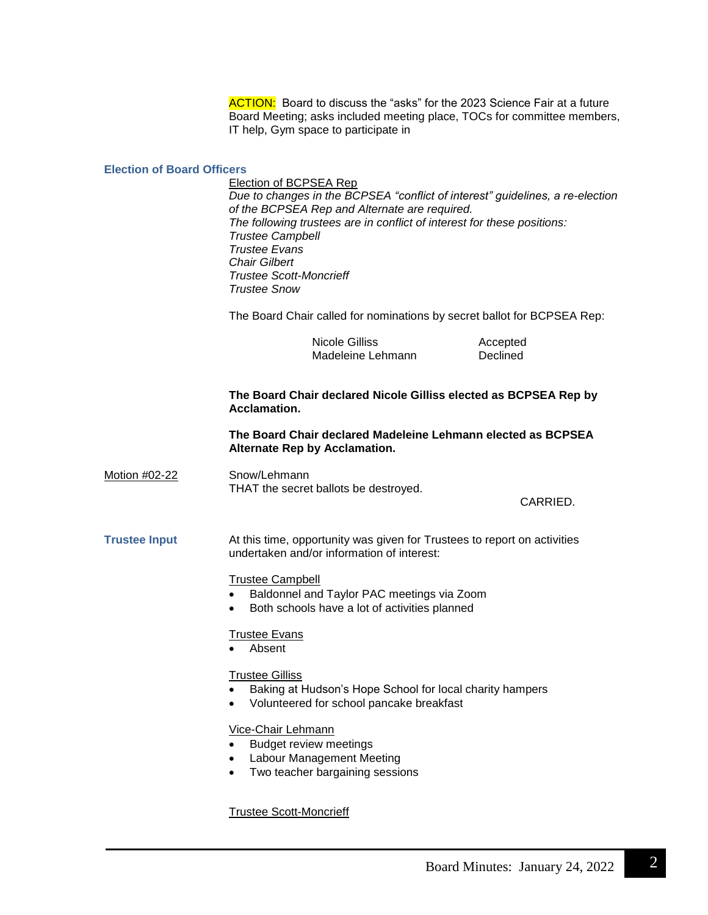ACTION: Board to discuss the "asks" for the 2023 Science Fair at a future Board Meeting; asks included meeting place, TOCs for committee members, IT help, Gym space to participate in

#### **Election of Board Officers**

Election of BCPSEA Rep *Due to changes in the BCPSEA "conflict of interest" guidelines, a re-election of the BCPSEA Rep and Alternate are required. The following trustees are in conflict of interest for these positions: Trustee Campbell Trustee Evans Chair Gilbert Trustee Scott-Moncrieff Trustee Snow*

The Board Chair called for nominations by secret ballot for BCPSEA Rep:

Nicole Gilliss **Accepted**<br>
Madeleine Lehmann **Accepted**<br>
Declined Madeleine Lehmann

## **The Board Chair declared Nicole Gilliss elected as BCPSEA Rep by Acclamation.**

## **The Board Chair declared Madeleine Lehmann elected as BCPSEA Alternate Rep by Acclamation.**

Motion #02-22 Snow/Lehmann THAT the secret ballots be destroyed.

CARRIED.

**Trustee Input** At this time, opportunity was given for Trustees to report on activities undertaken and/or information of interest:

## Trustee Campbell

- Baldonnel and Taylor PAC meetings via Zoom
- Both schools have a lot of activities planned

## Trustee Evans

• Absent

#### Trustee Gilliss

- Baking at Hudson's Hope School for local charity hampers
- Volunteered for school pancake breakfast

## Vice-Chair Lehmann

- Budget review meetings
- Labour Management Meeting
- Two teacher bargaining sessions

Trustee Scott-Moncrieff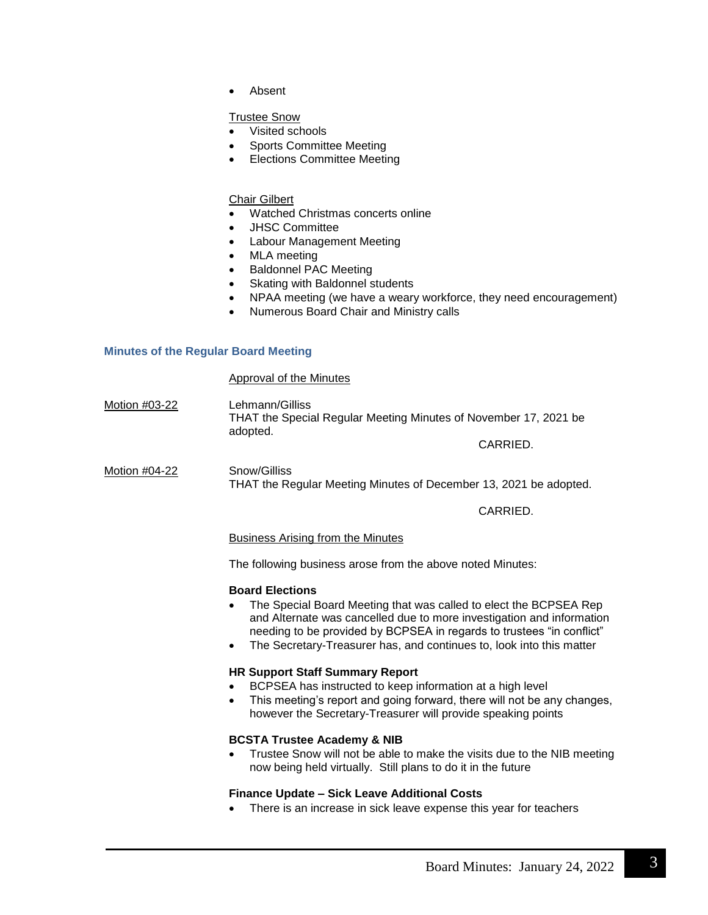Absent

## Trustee Snow

- Visited schools
- Sports Committee Meeting
- Elections Committee Meeting

## Chair Gilbert

- Watched Christmas concerts online
- JHSC Committee
- Labour Management Meeting
- MLA meeting
- Baldonnel PAC Meeting
- Skating with Baldonnel students
- NPAA meeting (we have a weary workforce, they need encouragement)
- Numerous Board Chair and Ministry calls

## **Minutes of the Regular Board Meeting**

## Approval of the Minutes

Motion #03-22 Lehmann/Gilliss THAT the Special Regular Meeting Minutes of November 17, 2021 be adopted.

CARRIED.

Motion #04-22 Snow/Gilliss THAT the Regular Meeting Minutes of December 13, 2021 be adopted.

CARRIED.

## Business Arising from the Minutes

The following business arose from the above noted Minutes:

## **Board Elections**

- The Special Board Meeting that was called to elect the BCPSEA Rep and Alternate was cancelled due to more investigation and information needing to be provided by BCPSEA in regards to trustees "in conflict"
- The Secretary-Treasurer has, and continues to, look into this matter

## **HR Support Staff Summary Report**

- BCPSEA has instructed to keep information at a high level
- This meeting's report and going forward, there will not be any changes, however the Secretary-Treasurer will provide speaking points

## **BCSTA Trustee Academy & NIB**

 Trustee Snow will not be able to make the visits due to the NIB meeting now being held virtually. Still plans to do it in the future

## **Finance Update – Sick Leave Additional Costs**

There is an increase in sick leave expense this year for teachers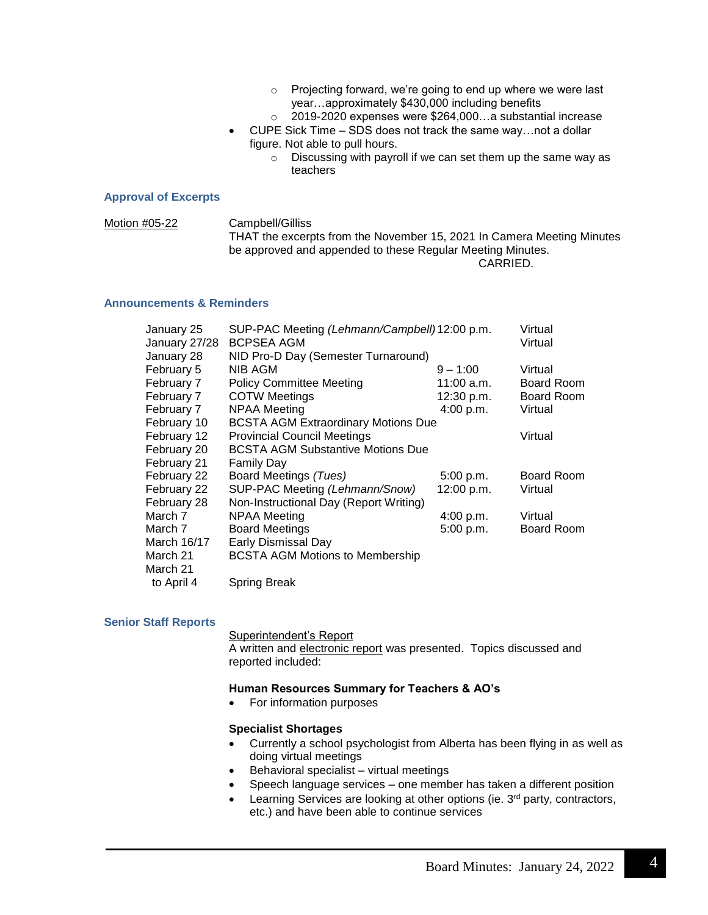- o Projecting forward, we're going to end up where we were last year…approximately \$430,000 including benefits
- o 2019-2020 expenses were \$264,000…a substantial increase
- CUPE Sick Time SDS does not track the same way…not a dollar figure. Not able to pull hours.
	- o Discussing with payroll if we can set them up the same way as teachers

#### **Approval of Excerpts**

Motion #05-22 Campbell/Gilliss THAT the excerpts from the November 15, 2021 In Camera Meeting Minutes be approved and appended to these Regular Meeting Minutes. CARRIED.

#### **Announcements & Reminders**

| January 25    | SUP-PAC Meeting (Lehmann/Campbell)12:00 p.m. |            | Virtual           |
|---------------|----------------------------------------------|------------|-------------------|
| January 27/28 | <b>BCPSEA AGM</b>                            | Virtual    |                   |
| January 28    | NID Pro-D Day (Semester Turnaround)          |            |                   |
| February 5    | NIB AGM                                      | $9 - 1:00$ | Virtual           |
| February 7    | <b>Policy Committee Meeting</b>              | 11:00 a.m. | <b>Board Room</b> |
| February 7    | <b>COTW Meetings</b>                         | 12:30 p.m. | <b>Board Room</b> |
| February 7    | <b>NPAA Meeting</b>                          | 4:00 p.m.  | Virtual           |
| February 10   | <b>BCSTA AGM Extraordinary Motions Due</b>   |            |                   |
| February 12   | <b>Provincial Council Meetings</b>           |            | Virtual           |
| February 20   | <b>BCSTA AGM Substantive Motions Due</b>     |            |                   |
| February 21   | Family Day                                   |            |                   |
| February 22   | Board Meetings (Tues)                        | 5:00 p.m.  | Board Room        |
| February 22   | SUP-PAC Meeting (Lehmann/Snow)               | 12:00 p.m. | Virtual           |
| February 28   | Non-Instructional Day (Report Writing)       |            |                   |
| March 7       | NPAA Meeting                                 | 4:00 p.m.  | Virtual           |
| March 7       | <b>Board Meetings</b>                        | 5:00 p.m.  | <b>Board Room</b> |
| March 16/17   | Early Dismissal Day                          |            |                   |
| March 21      | <b>BCSTA AGM Motions to Membership</b>       |            |                   |
| March 21      |                                              |            |                   |
| to April 4    | Spring Break                                 |            |                   |
|               |                                              |            |                   |

#### **Senior Staff Reports**

Superintendent's Report A written and electronic report was presented. Topics discussed and reported included:

## **Human Resources Summary for Teachers & AO's**

• For information purposes

#### **Specialist Shortages**

- Currently a school psychologist from Alberta has been flying in as well as doing virtual meetings
- Behavioral specialist virtual meetings
- Speech language services one member has taken a different position
- Learning Services are looking at other options (ie. 3<sup>rd</sup> party, contractors, etc.) and have been able to continue services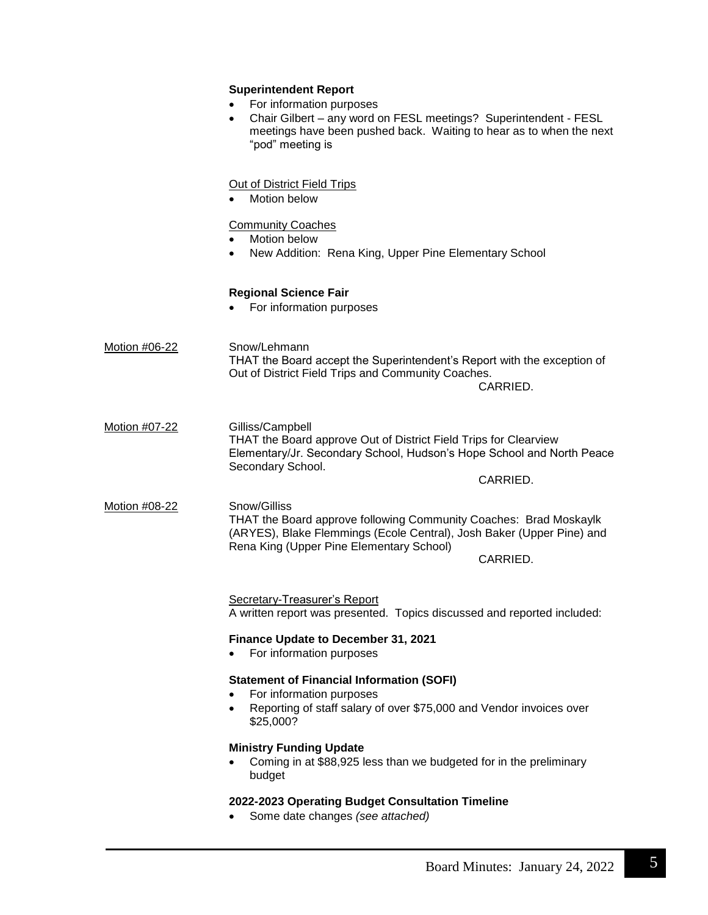|               | <b>Superintendent Report</b><br>For information purposes<br>Chair Gilbert - any word on FESL meetings? Superintendent - FESL<br>$\bullet$<br>meetings have been pushed back. Waiting to hear as to when the next<br>"pod" meeting is |  |  |
|---------------|--------------------------------------------------------------------------------------------------------------------------------------------------------------------------------------------------------------------------------------|--|--|
|               | <b>Out of District Field Trips</b><br>Motion below<br><b>Community Coaches</b><br>Motion below<br>New Addition: Rena King, Upper Pine Elementary School<br>$\bullet$                                                                 |  |  |
|               | <b>Regional Science Fair</b><br>For information purposes                                                                                                                                                                             |  |  |
| Motion #06-22 | Snow/Lehmann<br>THAT the Board accept the Superintendent's Report with the exception of<br>Out of District Field Trips and Community Coaches.<br>CARRIED.                                                                            |  |  |
| Motion #07-22 | Gilliss/Campbell<br>THAT the Board approve Out of District Field Trips for Clearview<br>Elementary/Jr. Secondary School, Hudson's Hope School and North Peace<br>Secondary School.<br>CARRIED.                                       |  |  |
| Motion #08-22 | Snow/Gilliss<br>THAT the Board approve following Community Coaches: Brad Moskaylk<br>(ARYES), Blake Flemmings (Ecole Central), Josh Baker (Upper Pine) and<br>Rena King (Upper Pine Elementary School)<br>CARRIED.                   |  |  |
|               | Secretary-Treasurer's Report<br>A written report was presented. Topics discussed and reported included:                                                                                                                              |  |  |
|               | Finance Update to December 31, 2021<br>For information purposes                                                                                                                                                                      |  |  |
|               | <b>Statement of Financial Information (SOFI)</b><br>For information purposes<br>Reporting of staff salary of over \$75,000 and Vendor invoices over<br>$\bullet$<br>\$25,000?                                                        |  |  |
|               | <b>Ministry Funding Update</b><br>Coming in at \$88,925 less than we budgeted for in the preliminary<br>$\bullet$<br>budget                                                                                                          |  |  |
|               | 2022-2023 Operating Budget Consultation Timeline<br>Some date changes (see attached)                                                                                                                                                 |  |  |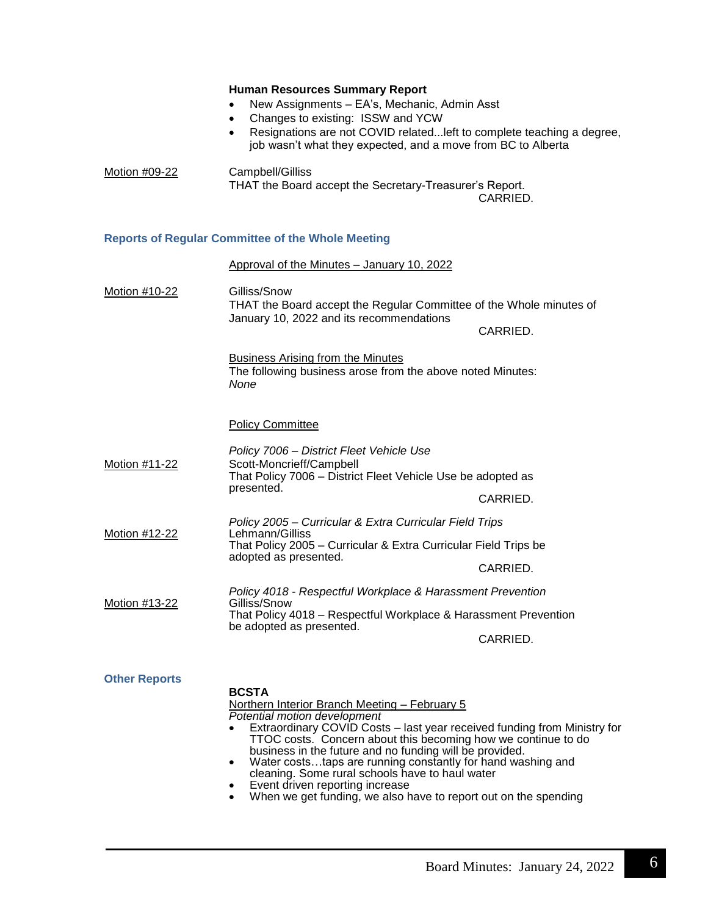|                      | <b>Human Resources Summary Report</b><br>New Assignments - EA's, Mechanic, Admin Asst<br>$\bullet$<br>Changes to existing: ISSW and YCW<br>$\bullet$<br>Resignations are not COVID related left to complete teaching a degree,<br>$\bullet$<br>job wasn't what they expected, and a move from BC to Alberta                                                                                                                                                                                                                                             |          |
|----------------------|---------------------------------------------------------------------------------------------------------------------------------------------------------------------------------------------------------------------------------------------------------------------------------------------------------------------------------------------------------------------------------------------------------------------------------------------------------------------------------------------------------------------------------------------------------|----------|
| Motion #09-22        | Campbell/Gilliss<br>THAT the Board accept the Secretary-Treasurer's Report.<br>CARRIED.                                                                                                                                                                                                                                                                                                                                                                                                                                                                 |          |
|                      | <b>Reports of Regular Committee of the Whole Meeting</b>                                                                                                                                                                                                                                                                                                                                                                                                                                                                                                |          |
|                      | Approval of the Minutes - January 10, 2022                                                                                                                                                                                                                                                                                                                                                                                                                                                                                                              |          |
| Motion #10-22        | Gilliss/Snow<br>THAT the Board accept the Regular Committee of the Whole minutes of<br>January 10, 2022 and its recommendations<br><b>Business Arising from the Minutes</b><br>The following business arose from the above noted Minutes:                                                                                                                                                                                                                                                                                                               | CARRIED. |
|                      | None<br><b>Policy Committee</b>                                                                                                                                                                                                                                                                                                                                                                                                                                                                                                                         |          |
| Motion #11-22        | Policy 7006 - District Fleet Vehicle Use<br>Scott-Moncrieff/Campbell<br>That Policy 7006 - District Fleet Vehicle Use be adopted as<br>presented.                                                                                                                                                                                                                                                                                                                                                                                                       | CARRIED. |
| Motion #12-22        | Policy 2005 - Curricular & Extra Curricular Field Trips<br>Lehmann/Gilliss<br>That Policy 2005 - Curricular & Extra Curricular Field Trips be<br>adopted as presented.                                                                                                                                                                                                                                                                                                                                                                                  | CARRIED. |
| Motion #13-22        | Policy 4018 - Respectful Workplace & Harassment Prevention<br>Gilliss/Snow<br>That Policy 4018 - Respectful Workplace & Harassment Prevention<br>be adopted as presented.<br>CARRIED.                                                                                                                                                                                                                                                                                                                                                                   |          |
| <b>Other Reports</b> | <b>BCSTA</b><br>Northern Interior Branch Meeting - February 5<br>Potential motion development<br>Extraordinary COVID Costs – last year received funding from Ministry for<br>TTOC costs. Concern about this becoming how we continue to do<br>business in the future and no funding will be provided.<br>Water coststaps are running constantly for hand washing and<br>$\bullet$<br>cleaning. Some rural schools have to haul water<br>Event driven reporting increase<br>When we get funding, we also have to report out on the spending<br>$\bullet$ |          |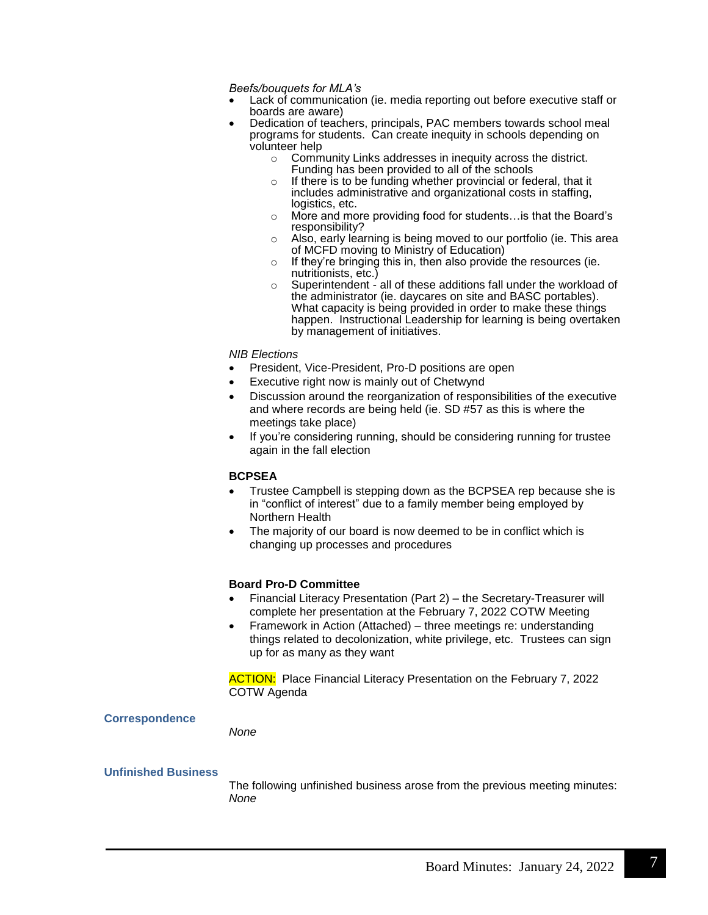*Beefs/bouquets for MLA's*

- Lack of communication (ie. media reporting out before executive staff or boards are aware)
- Dedication of teachers, principals, PAC members towards school meal programs for students. Can create inequity in schools depending on volunteer help
	- o Community Links addresses in inequity across the district. Funding has been provided to all of the schools
	- o If there is to be funding whether provincial or federal, that it includes administrative and organizational costs in staffing, logistics, etc.
	- o More and more providing food for students…is that the Board's responsibility?
	- o Also, early learning is being moved to our portfolio (ie. This area of MCFD moving to Ministry of Education)
	- $\circ$  If they're bringing this in, then also provide the resources (ie. nutritionists, etc.)
	- $\circ$  Superintendent all of these additions fall under the workload of the administrator (ie. daycares on site and BASC portables). What capacity is being provided in order to make these things happen. Instructional Leadership for learning is being overtaken by management of initiatives.

## *NIB Elections*

- President, Vice-President, Pro-D positions are open
- Executive right now is mainly out of Chetwynd
- Discussion around the reorganization of responsibilities of the executive and where records are being held (ie. SD #57 as this is where the meetings take place)
- If you're considering running, should be considering running for trustee again in the fall election

## **BCPSEA**

- Trustee Campbell is stepping down as the BCPSEA rep because she is in "conflict of interest" due to a family member being employed by Northern Health
- The majority of our board is now deemed to be in conflict which is changing up processes and procedures

## **Board Pro-D Committee**

- Financial Literacy Presentation (Part 2) the Secretary-Treasurer will complete her presentation at the February 7, 2022 COTW Meeting
- Framework in Action (Attached) three meetings re: understanding things related to decolonization, white privilege, etc. Trustees can sign up for as many as they want

**ACTION:** Place Financial Literacy Presentation on the February 7, 2022 COTW Agenda

## **Correspondence**

*None*

## **Unfinished Business**

The following unfinished business arose from the previous meeting minutes: *None*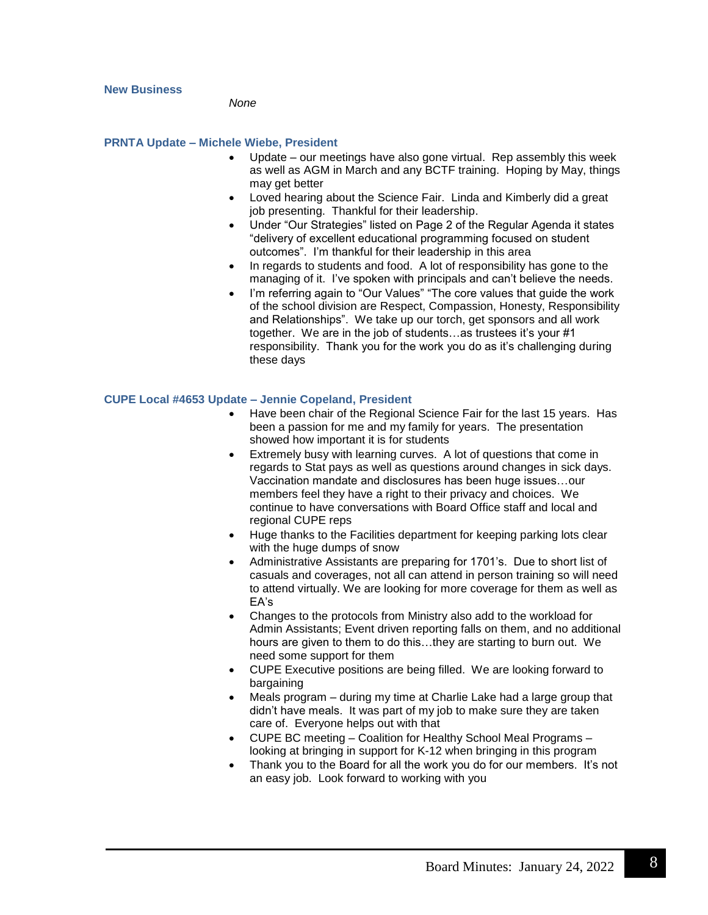#### **New Business**

*None*

## **PRNTA Update – Michele Wiebe, President**

- Update our meetings have also gone virtual. Rep assembly this week as well as AGM in March and any BCTF training. Hoping by May, things may get better
- Loved hearing about the Science Fair. Linda and Kimberly did a great job presenting. Thankful for their leadership.
- Under "Our Strategies" listed on Page 2 of the Regular Agenda it states "delivery of excellent educational programming focused on student outcomes". I'm thankful for their leadership in this area
- In regards to students and food. A lot of responsibility has gone to the managing of it. I've spoken with principals and can't believe the needs.
- I'm referring again to "Our Values" "The core values that guide the work of the school division are Respect, Compassion, Honesty, Responsibility and Relationships". We take up our torch, get sponsors and all work together. We are in the job of students…as trustees it's your #1 responsibility. Thank you for the work you do as it's challenging during these days

## **CUPE Local #4653 Update – Jennie Copeland, President**

- Have been chair of the Regional Science Fair for the last 15 years. Has been a passion for me and my family for years. The presentation showed how important it is for students
- Extremely busy with learning curves. A lot of questions that come in regards to Stat pays as well as questions around changes in sick days. Vaccination mandate and disclosures has been huge issues…our members feel they have a right to their privacy and choices. We continue to have conversations with Board Office staff and local and regional CUPE reps
- Huge thanks to the Facilities department for keeping parking lots clear with the huge dumps of snow
- Administrative Assistants are preparing for 1701's. Due to short list of casuals and coverages, not all can attend in person training so will need to attend virtually. We are looking for more coverage for them as well as EA's
- Changes to the protocols from Ministry also add to the workload for Admin Assistants; Event driven reporting falls on them, and no additional hours are given to them to do this…they are starting to burn out. We need some support for them
- CUPE Executive positions are being filled. We are looking forward to bargaining
- Meals program during my time at Charlie Lake had a large group that didn't have meals. It was part of my job to make sure they are taken care of. Everyone helps out with that
- CUPE BC meeting Coalition for Healthy School Meal Programs looking at bringing in support for K-12 when bringing in this program
- Thank you to the Board for all the work you do for our members. It's not an easy job. Look forward to working with you